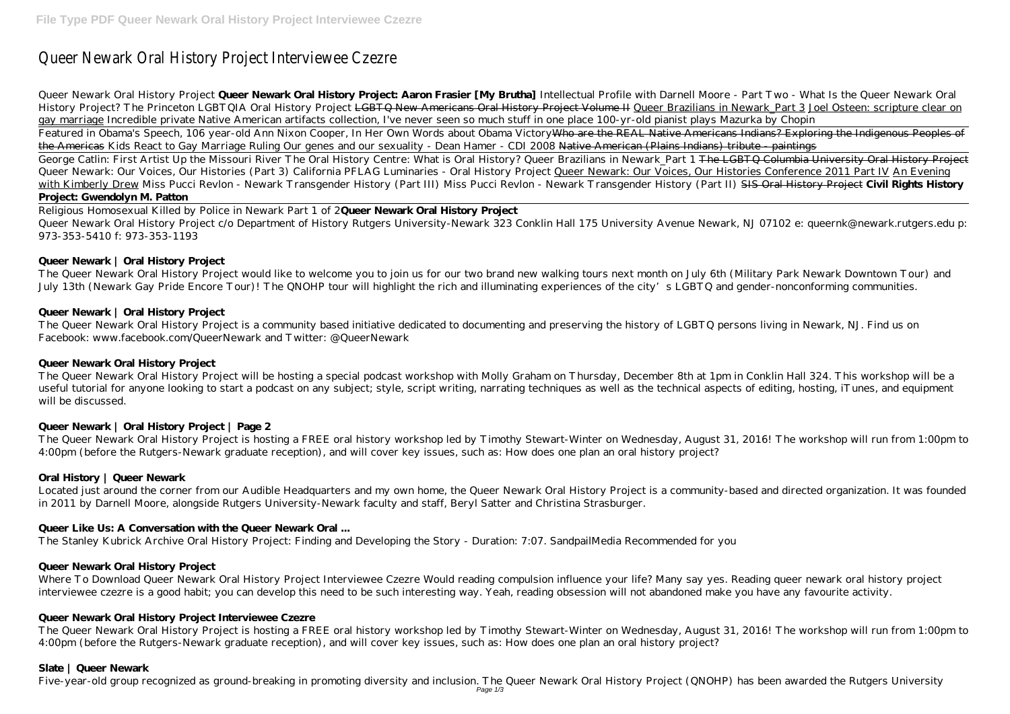# Queer Newark Oral History Project Interviewee Czezre

Queer Newark Oral History Project **Queer Newark Oral History Project: Aaron Frasier [My Brutha]** *Intellectual Profile with Darnell Moore - Part Two - What Is the Queer Newark Oral History Project? The Princeton LGBTQIA Oral History Project* LGBTQ New Americans Oral History Project Volume II Queer Brazilians in Newark\_Part 3 Joel Osteen: scripture clear on gay marriage *Incredible private Native American artifacts collection, I've never seen so much stuff in one place 100-yr-old pianist plays Mazurka by Chopin* Featured in Obama's Speech, 106 year-old Ann Nixon Cooper, In Her Own Words about Obama Victory Who are the REAL Native Americans Indians? Exploring the Indigenous Peoples of the Americas *Kids React to Gay Marriage Ruling* Our genes and our sexuality - Dean Hamer - CDI 2008 Native American (Plains Indians) tribute - paintings George Catlin: First Artist Up the Missouri River The Oral History Centre: What is Oral History? Queer Brazilians in Newark Part 1 <del>The LGBTQ Columbia University Oral History Project</del> *Queer Newark: Our Voices, Our Histories (Part 3) California PFLAG Luminaries - Oral History Project* Queer Newark: Our Voices, Our Histories Conference 2011 Part IV An Evening with Kimberly Drew *Miss Pucci Revlon - Newark Transgender History (Part III) Miss Pucci Revlon - Newark Transgender History (Part II)* SIS Oral History Project **Civil Rights History Project: Gwendolyn M. Patton**

The Queer Newark Oral History Project would like to welcome you to join us for our two brand new walking tours next month on July 6th (Military Park Newark Downtown Tour) and July 13th (Newark Gay Pride Encore Tour)! The QNOHP tour will highlight the rich and illuminating experiences of the city's LGBTQ and gender-nonconforming communities.

Religious Homosexual Killed by Police in Newark Part 1 of 2**Queer Newark Oral History Project** Queer Newark Oral History Project c/o Department of History Rutgers University-Newark 323 Conklin Hall 175 University Avenue Newark, NJ 07102 e: queernk@newark.rutgers.edu p: 973-353-5410 f: 973-353-1193

## **Queer Newark | Oral History Project**

## **Queer Newark | Oral History Project**

The Queer Newark Oral History Project is a community based initiative dedicated to documenting and preserving the history of LGBTQ persons living in Newark, NJ. Find us on Facebook: www.facebook.com/QueerNewark and Twitter: @QueerNewark

## **Queer Newark Oral History Project**

The Queer Newark Oral History Project will be hosting a special podcast workshop with Molly Graham on Thursday, December 8th at 1pm in Conklin Hall 324. This workshop will be a useful tutorial for anyone looking to start a podcast on any subject; style, script writing, narrating techniques as well as the technical aspects of editing, hosting, iTunes, and equipment will be discussed.

## **Queer Newark | Oral History Project | Page 2**

The Queer Newark Oral History Project is hosting a FREE oral history workshop led by Timothy Stewart-Winter on Wednesday, August 31, 2016! The workshop will run from 1:00pm to 4:00pm (before the Rutgers-Newark graduate reception), and will cover key issues, such as: How does one plan an oral history project?

## **Oral History | Queer Newark**

Located just around the corner from our Audible Headquarters and my own home, the Queer Newark Oral History Project is a community-based and directed organization. It was founded in 2011 by Darnell Moore, alongside Rutgers University-Newark faculty and staff, Beryl Satter and Christina Strasburger.

## **Queer Like Us: A Conversation with the Queer Newark Oral ...**

The Stanley Kubrick Archive Oral History Project: Finding and Developing the Story - Duration: 7:07. SandpailMedia Recommended for you

#### **Queer Newark Oral History Project**

Where To Download Queer Newark Oral History Project Interviewee Czezre Would reading compulsion influence your life? Many say yes. Reading queer newark oral history project interviewee czezre is a good habit; you can develop this need to be such interesting way. Yeah, reading obsession will not abandoned make you have any favourite activity.

#### **Queer Newark Oral History Project Interviewee Czezre**

The Queer Newark Oral History Project is hosting a FREE oral history workshop led by Timothy Stewart-Winter on Wednesday, August 31, 2016! The workshop will run from 1:00pm to 4:00pm (before the Rutgers-Newark graduate reception), and will cover key issues, such as: How does one plan an oral history project?

## **Slate | Queer Newark**

Five-year-old group recognized as ground-breaking in promoting diversity and inclusion. The Queer Newark Oral History Project (QNOHP) has been awarded the Rutgers University Page 1/3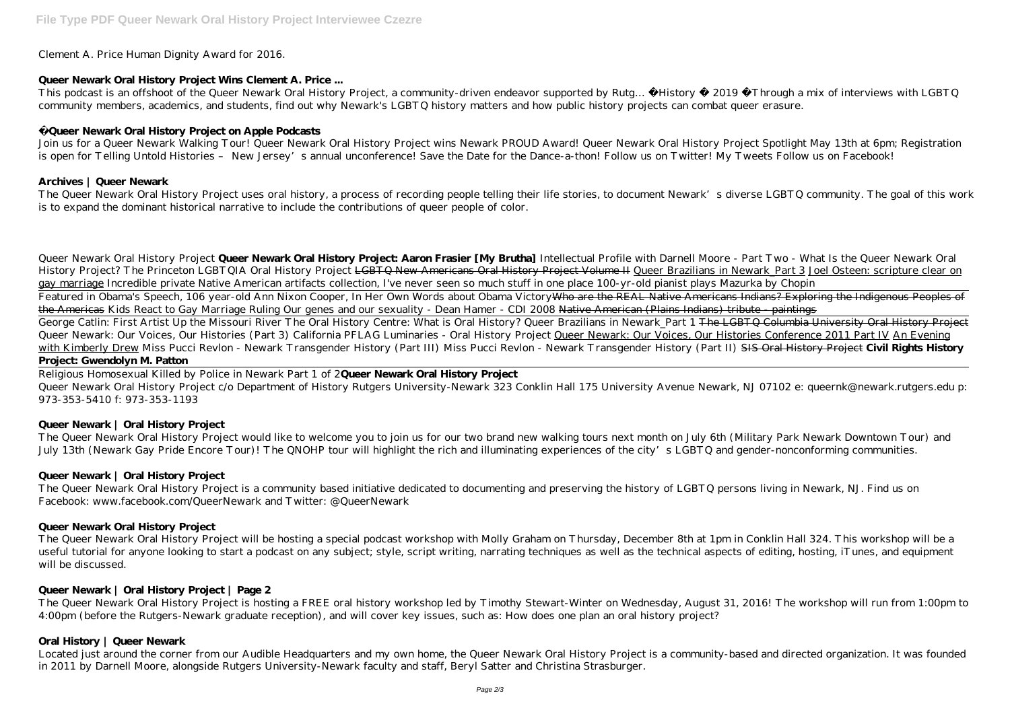Clement A. Price Human Dignity Award for 2016.

## **Queer Newark Oral History Project Wins Clement A. Price ...**

This podcast is an offshoot of the Queer Newark Oral History Project, a community-driven endeavor supported by Rutg... History · 2019 Through a mix of interviews with LGBTQ community members, academics, and students, find out why Newark's LGBTQ history matters and how public history projects can combat queer erasure.

Join us for a Queer Newark Walking Tour! Queer Newark Oral History Project wins Newark PROUD Award! Queer Newark Oral History Project Spotlight May 13th at 6pm; Registration is open for Telling Untold Histories – New Jersey's annual unconference! Save the Date for the Dance-a-thon! Follow us on Twitter! My Tweets Follow us on Facebook!

# **Queer Newark Oral History Project on Apple Podcasts**

The Queer Newark Oral History Project uses oral history, a process of recording people telling their life stories, to document Newark's diverse LGBTQ community. The goal of this work is to expand the dominant historical narrative to include the contributions of queer people of color.

## **Archives | Queer Newark**

Queer Newark Oral History Project c/o Department of History Rutgers University-Newark 323 Conklin Hall 175 University Avenue Newark, NJ 07102 e: queernk@newark.rutgers.edu p: 973-353-5410 f: 973-353-1193

The Queer Newark Oral History Project is a community based initiative dedicated to documenting and preserving the history of LGBTQ persons living in Newark, NJ. Find us on Facebook: www.facebook.com/QueerNewark and Twitter: @ QueerNewark

Queer Newark Oral History Project **Queer Newark Oral History Project: Aaron Frasier [My Brutha]** *Intellectual Profile with Darnell Moore - Part Two - What Is the Queer Newark Oral History Project? The Princeton LGBTQIA Oral History Project* L<del>GBTQ New Americans Oral History Project Volume II</del> Queer Brazilians in Newark Part 3 Joel Osteen: scripture clear on gay marriage *Incredible private Native American artifacts collection, I've never seen so much stuff in one place 100-yr-old pianist plays Mazurka by Chopin* Featured in Obama's Speech, 106 year-old Ann Nixon Cooper, In Her Own Words about Obama Victory Who are the REAL Native Americans Indians? Exploring the Indigenous Peoples of the Americas *Kids React to Gay Marriage Ruling* Our genes and our sexuality - Dean Hamer - CDI 2008 Native American (Plains Indians) tribute - paintings George Catlin: First Artist Up the Missouri River The Oral History Centre: What is Oral History? Queer Brazilians in Newark Part 1 <del>The LGBTQ Columbia University Oral History Project</del> *Queer Newark: Our Voices, Our Histories (Part 3) California PFLAG Luminaries - Oral History Project* Queer Newark: Our Voices, Our Histories Conference 2011 Part IV An Evening with Kimberly Drew *Miss Pucci Revlon - Newark Transgender History (Part III) Miss Pucci Revlon - Newark Transgender History (Part II)* SIS Oral History Project **Civil Rights History Project: Gwendolyn M. Patton**

Religious Homosexual Killed by Police in Newark Part 1 of 2**Queer Newark Oral History Project**

# **Queer Newark | Oral History Project**

The Queer Newark Oral History Project would like to welcome you to join us for our two brand new walking tours next month on July 6th (Military Park Newark Downtown Tour) and July 13th (Newark Gay Pride Encore Tour)! The QNOHP tour will highlight the rich and illuminating experiences of the city's LGBTQ and gender-nonconforming communities.

# **Queer Newark | Oral History Project**

# **Queer Newark Oral History Project**

The Queer Newark Oral History Project will be hosting a special podcast workshop with Molly Graham on Thursday, December 8th at 1pm in Conklin Hall 324. This workshop will be a useful tutorial for anyone looking to start a podcast on any subject; style, script writing, narrating techniques as well as the technical aspects of editing, hosting, iTunes, and equipment will be discussed.

# **Queer Newark | Oral History Project | Page 2**

The Queer Newark Oral History Project is hosting a FREE oral history workshop led by Timothy Stewart-Winter on Wednesday, August 31, 2016! The workshop will run from 1:00pm to 4:00pm (before the Rutgers-Newark graduate reception), and will cover key issues, such as: How does one plan an oral history project?

# **Oral History | Queer Newark**

Located just around the corner from our Audible Headquarters and my own home, the Queer Newark Oral History Project is a community-based and directed organization. It was founded in 2011 by Darnell Moore, alongside Rutgers University-Newark faculty and staff, Beryl Satter and Christina Strasburger.